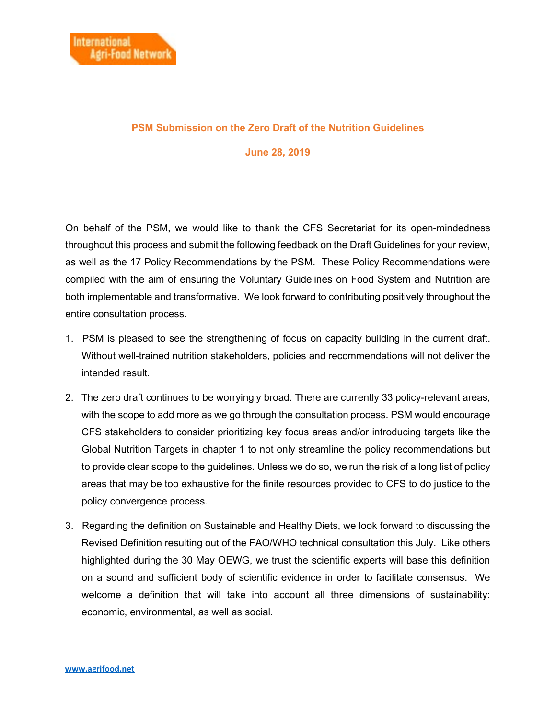## **PSM Submission on the Zero Draft of the Nutrition Guidelines**

## **June 28, 2019**

On behalf of the PSM, we would like to thank the CFS Secretariat for its open-mindedness throughout this process and submit the following feedback on the Draft Guidelines for your review, as well as the 17 Policy Recommendations by the PSM. These Policy Recommendations were compiled with the aim of ensuring the Voluntary Guidelines on Food System and Nutrition are both implementable and transformative. We look forward to contributing positively throughout the entire consultation process.

- 1. PSM is pleased to see the strengthening of focus on capacity building in the current draft. Without well-trained nutrition stakeholders, policies and recommendations will not deliver the intended result.
- 2. The zero draft continues to be worryingly broad. There are currently 33 policy-relevant areas, with the scope to add more as we go through the consultation process. PSM would encourage CFS stakeholders to consider prioritizing key focus areas and/or introducing targets like the Global Nutrition Targets in chapter 1 to not only streamline the policy recommendations but to provide clear scope to the guidelines. Unless we do so, we run the risk of a long list of policy areas that may be too exhaustive for the finite resources provided to CFS to do justice to the policy convergence process.
- 3. Regarding the definition on Sustainable and Healthy Diets, we look forward to discussing the Revised Definition resulting out of the FAO/WHO technical consultation this July. Like others highlighted during the 30 May OEWG, we trust the scientific experts will base this definition on a sound and sufficient body of scientific evidence in order to facilitate consensus. We welcome a definition that will take into account all three dimensions of sustainability: economic, environmental, as well as social.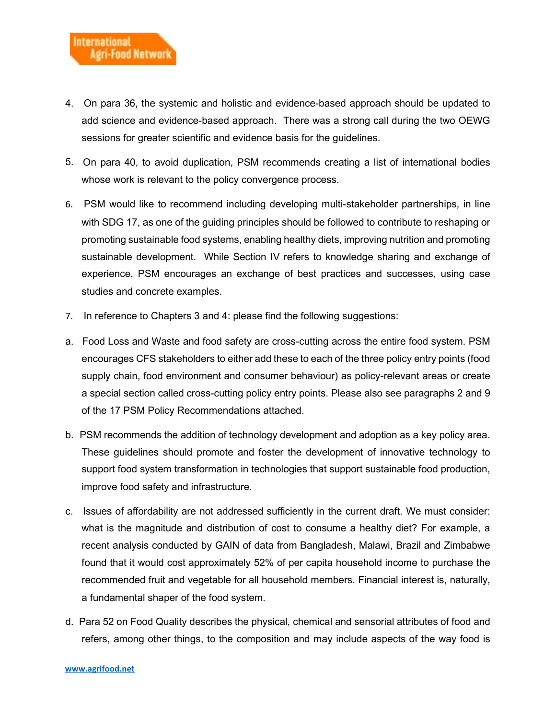- 4. On para 36, the systemic and holistic and evidence-based approach should be updated to add science and evidence-based approach. There was a strong call during the two OEWG sessions for greater scientific and evidence basis for the guidelines.
- 5. On para 40, to avoid duplication, PSM recommends creating a list of international bodies whose work is relevant to the policy convergence process.
- 6. PSM would like to recommend including developing multi-stakeholder partnerships, in line with SDG 17, as one of the guiding principles should be followed to contribute to reshaping or promoting sustainable food systems, enabling healthy diets, improving nutrition and promoting sustainable development. While Section IV refers to knowledge sharing and exchange of experience, PSM encourages an exchange of best practices and successes, using case studies and concrete examples.
- 7. In reference to Chapters 3 and 4: please find the following suggestions:
- a. Food Loss and Waste and food safety are cross-cutting across the entire food system. PSM encourages CFS stakeholders to either add these to each of the three policy entry points (food supply chain, food environment and consumer behaviour) as policy-relevant areas or create a special section called cross-cutting policy entry points. Please also see paragraphs 2 and 9 of the 17 PSM Policy Recommendations attached.
- b. PSM recommends the addition of technology development and adoption as a key policy area. These guidelines should promote and foster the development of innovative technology to support food system transformation in technologies that support sustainable food production, improve food safety and infrastructure.
- c. Issues of affordability are not addressed sufficiently in the current draft. We must consider: what is the magnitude and distribution of cost to consume a healthy diet? For example, a recent analysis conducted by GAIN of data from Bangladesh, Malawi, Brazil and Zimbabwe found that it would cost approximately 52% of per capita household income to purchase the recommended fruit and vegetable for all household members. Financial interest is, naturally, a fundamental shaper of the food system.
- d. Para 52 on Food Quality describes the physical, chemical and sensorial attributes of food and refers, among other things, to the composition and may include aspects of the way food is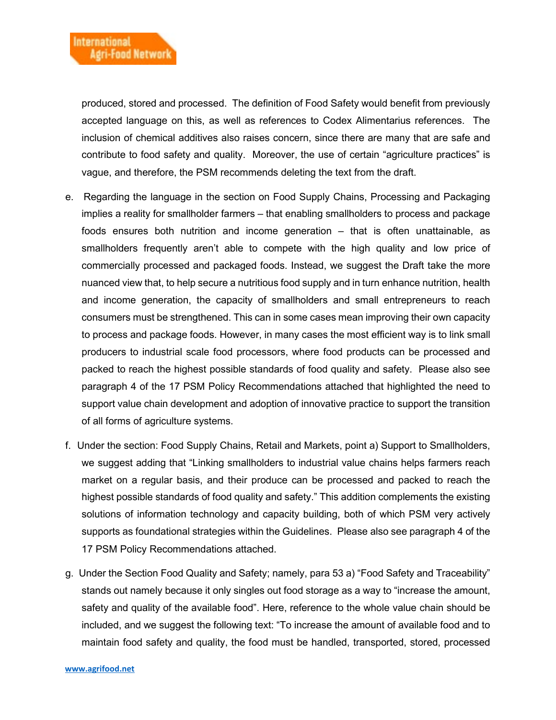produced, stored and processed. The definition of Food Safety would benefit from previously accepted language on this, as well as references to Codex Alimentarius references. The inclusion of chemical additives also raises concern, since there are many that are safe and contribute to food safety and quality. Moreover, the use of certain "agriculture practices" is vague, and therefore, the PSM recommends deleting the text from the draft.

- e. Regarding the language in the section on Food Supply Chains, Processing and Packaging implies a reality for smallholder farmers – that enabling smallholders to process and package foods ensures both nutrition and income generation – that is often unattainable, as smallholders frequently aren't able to compete with the high quality and low price of commercially processed and packaged foods. Instead, we suggest the Draft take the more nuanced view that, to help secure a nutritious food supply and in turn enhance nutrition, health and income generation, the capacity of smallholders and small entrepreneurs to reach consumers must be strengthened. This can in some cases mean improving their own capacity to process and package foods. However, in many cases the most efficient way is to link small producers to industrial scale food processors, where food products can be processed and packed to reach the highest possible standards of food quality and safety. Please also see paragraph 4 of the 17 PSM Policy Recommendations attached that highlighted the need to support value chain development and adoption of innovative practice to support the transition of all forms of agriculture systems.
- f. Under the section: Food Supply Chains, Retail and Markets, point a) Support to Smallholders, we suggest adding that "Linking smallholders to industrial value chains helps farmers reach market on a regular basis, and their produce can be processed and packed to reach the highest possible standards of food quality and safety." This addition complements the existing solutions of information technology and capacity building, both of which PSM very actively supports as foundational strategies within the Guidelines. Please also see paragraph 4 of the 17 PSM Policy Recommendations attached.
- g. Under the Section Food Quality and Safety; namely, para 53 a) "Food Safety and Traceability" stands out namely because it only singles out food storage as a way to "increase the amount, safety and quality of the available food". Here, reference to the whole value chain should be included, and we suggest the following text: "To increase the amount of available food and to maintain food safety and quality, the food must be handled, transported, stored, processed